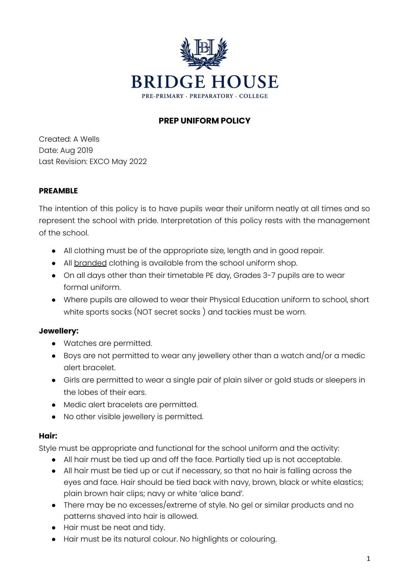

# **PREP UNIFORM POLICY**

Created: A Wells Date: Aug 2019 Last Revision: EXCO May 2022

## **PREAMBLE**

The intention of this policy is to have pupils wear their uniform neatly at all times and so represent the school with pride. Interpretation of this policy rests with the management of the school.

- All clothing must be of the appropriate size, length and in good repair.
- All branded clothing is available from the school uniform shop.
- On all days other than their timetable PE day, Grades 3-7 pupils are to wear formal uniform.
- Where pupils are allowed to wear their Physical Education uniform to school, short white sports socks (NOT secret socks ) and tackies must be worn.

# **Jewellery:**

- Watches are permitted.
- $\bullet$  Boys are not permitted to wear any jewellery other than a watch and/or a medic alert bracelet.
- Girls are permitted to wear a single pair of plain silver or gold studs or sleepers in the lobes of their ears.
- Medic alert bracelets are permitted.
- No other visible jewellery is permitted.

# **Hair:**

Style must be appropriate and functional for the school uniform and the activity:

- All hair must be tied up and off the face. Partially tied up is not acceptable.
- All hair must be tied up or cut if necessary, so that no hair is falling across the eyes and face. Hair should be tied back with navy, brown, black or white elastics; plain brown hair clips; navy or white 'alice band'.
- There may be no excesses/extreme of style. No gel or similar products and no patterns shaved into hair is allowed.
- Hair must be neat and tidy.
- Hair must be its natural colour. No highlights or colouring.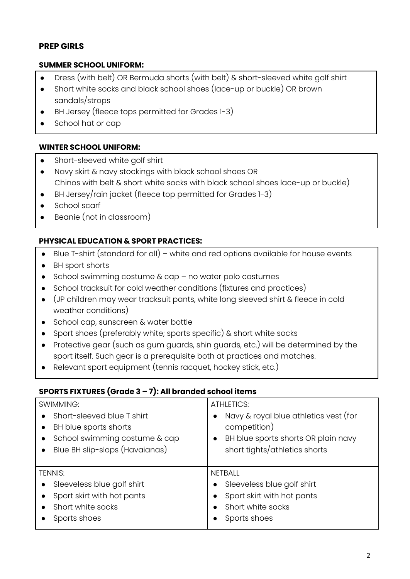# **PREP GIRLS**

## **SUMMER SCHOOL UNIFORM:**

- Dress (with belt) OR Bermuda shorts (with belt) & short-sleeved white golf shirt
- Short white socks and black school shoes (lace-up or buckle) OR brown sandals/strops
- BH Jersey (fleece tops permitted for Grades 1-3)
- School hat or cap

## **WINTER SCHOOL UNIFORM:**

- Short-sleeved white golf shirt
- Navy skirt & navy stockings with black school shoes OR Chinos with belt & short white socks with black school shoes lace-up or buckle)
- BH Jersey/rain jacket (fleece top permitted for Grades 1-3)
- School scarf
- Beanie (not in classroom)

# **PHYSICAL EDUCATION & SPORT PRACTICES:**

- Blue T-shirt (standard for all) white and red options available for house events
- BH sport shorts
- School swimming costume & cap no water polo costumes
- School tracksuit for cold weather conditions (fixtures and practices)
- (JP children may wear tracksuit pants, white long sleeved shirt & fleece in cold weather conditions)
- School cap, sunscreen & water bottle
- Sport shoes (preferably white; sports specific) & short white socks
- Protective gear (such as gum guards, shin guards, etc.) will be determined by the sport itself. Such gear is a prerequisite both at practices and matches.
- Relevant sport equipment (tennis racquet, hockey stick, etc.)

### **SPORTS FIXTURES (Grade 3 – 7): All branded school items**

| <b>SWIMMING:</b>                                                                                                                                                           | <b>ATHLETICS:</b>                                                                                                             |
|----------------------------------------------------------------------------------------------------------------------------------------------------------------------------|-------------------------------------------------------------------------------------------------------------------------------|
| Short-sleeved blue T shirt<br>$\bullet$<br>BH blue sports shorts<br>$\bullet$<br>School swimming costume & cap<br>$\bullet$<br>Blue BH slip-slops (Havaianas)<br>$\bullet$ | Navy & royal blue athletics vest (for<br>competition)<br>BH blue sports shorts OR plain navy<br>short tights/athletics shorts |
| <b>TENNIS:</b>                                                                                                                                                             | <b>NETBALL</b>                                                                                                                |
| Sleeveless blue golf shirt<br>$\bullet$                                                                                                                                    | Sleeveless blue golf shirt                                                                                                    |
| Sport skirt with hot pants                                                                                                                                                 | Sport skirt with hot pants                                                                                                    |
| Short white socks                                                                                                                                                          | Short white socks                                                                                                             |
| Sports shoes                                                                                                                                                               | Sports shoes                                                                                                                  |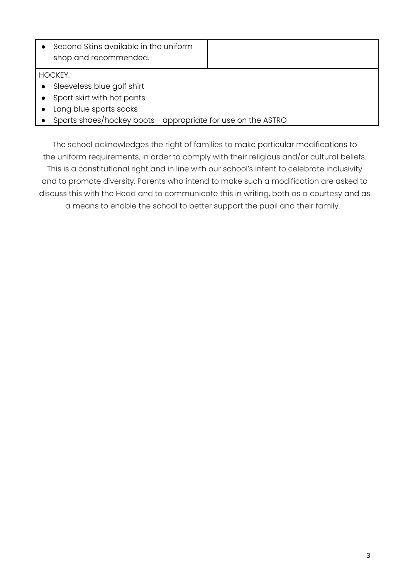|                        | Second Skins available in the uniform<br>shop and recommended. |  |  |
|------------------------|----------------------------------------------------------------|--|--|
|                        | <b>HOCKEY:</b>                                                 |  |  |
| $\bullet$              | Sleeveless blue golf shirt                                     |  |  |
| $\bullet$              | Sport skirt with hot pants                                     |  |  |
| Long blue sports socks |                                                                |  |  |
|                        | Sports shoes/hockey boots - appropriate for use on the ASTRO   |  |  |

The school acknowledges the right of families to make particular modifications to the uniform requirements, in order to comply with their religious and/or cultural beliefs. This is a constitutional right and in line with our school's intent to celebrate inclusivity and to promote diversity. Parents who intend to make such a modification are asked to discuss this with the Head and to communicate this in writing, both as a courtesy and as

a means to enable the school to better support the pupil and their family.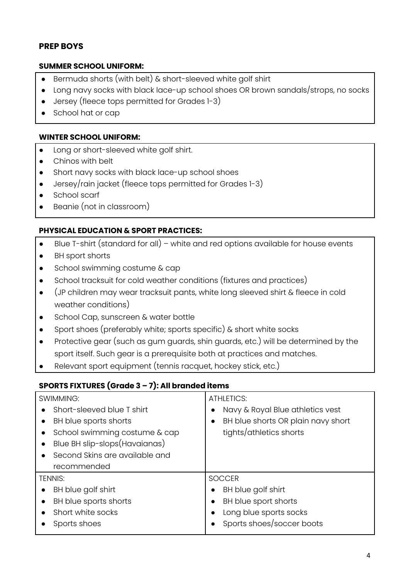# **PREP BOYS**

### **SUMMER SCHOOL UNIFORM:**

- Bermuda shorts (with belt) & short-sleeved white golf shirt
- Long navy socks with black lace-up school shoes OR brown sandals/strops, no socks
- Jersey (fleece tops permitted for Grades 1-3)
- School hat or cap

#### **WINTER SCHOOL UNIFORM:**

- Long or short-sleeved white golf shirt.
- Chinos with belt
- Short navy socks with black lace-up school shoes
- Jersey/rain jacket (fleece tops permitted for Grades 1-3)
- School scarf
- Beanie (not in classroom)

#### **PHYSICAL EDUCATION & SPORT PRACTICES:**

- Blue T-shirt (standard for all) white and red options available for house events
- BH sport shorts
- School swimming costume & cap
- School tracksuit for cold weather conditions (fixtures and practices)
- (JP children may wear tracksuit pants, white long sleeved shirt & fleece in cold weather conditions)
- School Cap, sunscreen & water bottle
- Sport shoes (preferably white; sports specific) & short white socks
- Protective gear (such as gum guards, shin guards, etc.) will be determined by the sport itself. Such gear is a prerequisite both at practices and matches.
- Relevant sport equipment (tennis racquet, hockey stick, etc.)

### **SPORTS FIXTURES (Grade 3 – 7): All branded items**

| SWIMMING:                                  | <b>ATHLETICS:</b>                             |
|--------------------------------------------|-----------------------------------------------|
| Short-sleeved blue T shirt                 | Navy & Royal Blue athletics vest<br>$\bullet$ |
| BH blue sports shorts<br>$\bullet$         | BH blue shorts OR plain navy short            |
| School swimming costume & cap              | tights/athletics shorts                       |
| Blue BH slip-slops(Havaianas)<br>$\bullet$ |                                               |
| Second Skins are available and             |                                               |
| recommended                                |                                               |
| <b>TFNNIS:</b>                             | <b>SOCCER</b>                                 |
| BH blue golf shirt<br>$\bullet$            | BH blue golf shirt<br>$\bullet$               |
| BH blue sports shorts<br>$\bullet$         | BH blue sport shorts                          |
| Short white socks                          | Long blue sports socks                        |
| Sports shoes                               | Sports shoes/soccer boots                     |